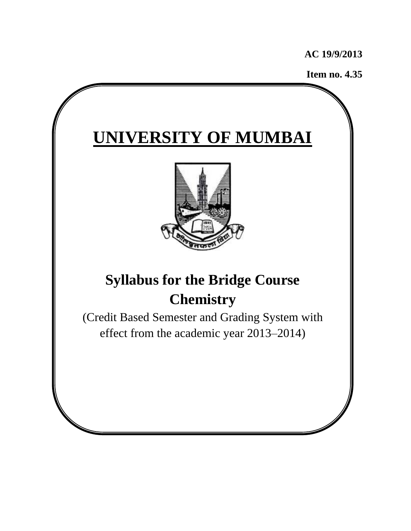**AC 19/9/2013**

**Item no. 4.35**

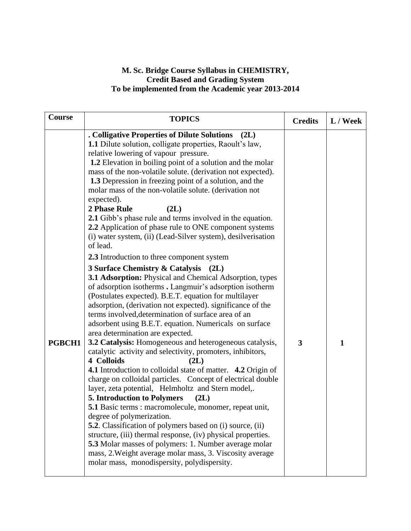## **M. Sc. Bridge Course Syllabus in CHEMISTRY, Credit Based and Grading System To be implemented from the Academic year 2013-2014**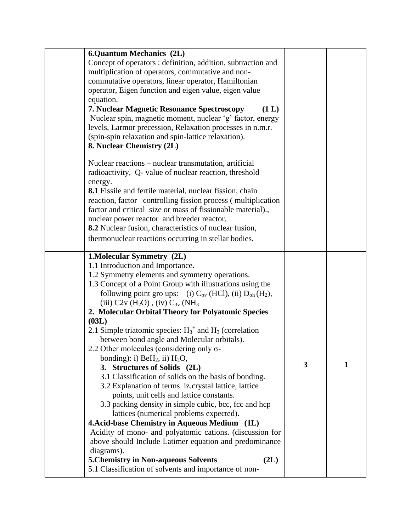| <b>6.Quantum Mechanics (2L)</b>                                                           |              |   |
|-------------------------------------------------------------------------------------------|--------------|---|
| Concept of operators : definition, addition, subtraction and                              |              |   |
| multiplication of operators, commutative and non-                                         |              |   |
| commutative operators, linear operator, Hamiltonian                                       |              |   |
| operator, Eigen function and eigen value, eigen value                                     |              |   |
| equation.                                                                                 |              |   |
| 7. Nuclear Magnetic Resonance Spectroscopy<br>(1 L)                                       |              |   |
| Nuclear spin, magnetic moment, nuclear 'g' factor, energy                                 |              |   |
| levels, Larmor precession, Relaxation processes in n.m.r.                                 |              |   |
| (spin-spin relaxation and spin-lattice relaxation).                                       |              |   |
| 8. Nuclear Chemistry (2L)                                                                 |              |   |
|                                                                                           |              |   |
| Nuclear reactions - nuclear transmutation, artificial                                     |              |   |
| radioactivity, Q- value of nuclear reaction, threshold                                    |              |   |
| energy.                                                                                   |              |   |
| <b>8.1</b> Fissile and fertile material, nuclear fission, chain                           |              |   |
| reaction, factor controlling fission process (multiplication                              |              |   |
| factor and critical size or mass of fissionable material).,                               |              |   |
| nuclear power reactor and breeder reactor.                                                |              |   |
| 8.2 Nuclear fusion, characteristics of nuclear fusion,                                    |              |   |
| thermonuclear reactions occurring in stellar bodies.                                      |              |   |
|                                                                                           |              |   |
| 1. Molecular Symmetry (2L)                                                                |              |   |
| 1.1 Introduction and Importance.                                                          |              |   |
| 1.2 Symmetry elements and symmetry operations.                                            |              |   |
| 1.3 Concept of a Point Group with illustrations using the                                 |              |   |
| following point gro ups: (i) $C_{\alpha v}$ (HCl), (ii) $D_{\alpha h}$ (H <sub>2</sub> ), |              |   |
| (iii) $C2v$ (H <sub>2</sub> O), (iv) $C_{3v}$ (NH <sub>3</sub>                            |              |   |
| 2. Molecular Orbital Theory for Polyatomic Species                                        |              |   |
| (03L)                                                                                     |              |   |
| 2.1 Simple triatomic species: $H_3^+$ and $H_3$ (correlation                              |              |   |
| between bond angle and Molecular orbitals).                                               |              |   |
| 2.2 Other molecules (considering only $\sigma$ -                                          |              |   |
| bonding): i) $BeH_2$ , ii) $H_2O$ ,                                                       |              |   |
| 3. Structures of Solids (2L)                                                              | $\mathbf{3}$ | 1 |
| 3.1 Classification of solids on the basis of bonding.                                     |              |   |
| 3.2 Explanation of terms iz.crystal lattice, lattice                                      |              |   |
| points, unit cells and lattice constants.                                                 |              |   |
| 3.3 packing density in simple cubic, bcc, fcc and hcp                                     |              |   |
| lattices (numerical problems expected).                                                   |              |   |
| 4. Acid-base Chemistry in Aqueous Medium (1L)                                             |              |   |
| Acidity of mono- and polyatomic cations. (discussion for                                  |              |   |
| above should Include Latimer equation and predominance                                    |              |   |
|                                                                                           |              |   |
|                                                                                           |              |   |
| diagrams).<br><b>5. Chemistry in Non-aqueous Solvents</b><br>(2L)                         |              |   |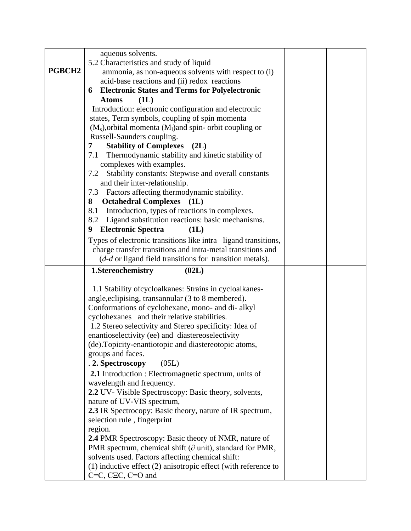|        | aqueous solvents.                                                                         |  |
|--------|-------------------------------------------------------------------------------------------|--|
|        | 5.2 Characteristics and study of liquid                                                   |  |
| PGBCH2 | ammonia, as non-aqueous solvents with respect to (i)                                      |  |
|        | acid-base reactions and (ii) redox reactions                                              |  |
|        | <b>Electronic States and Terms for Polyelectronic</b><br>6                                |  |
|        | (1L)<br><b>Atoms</b>                                                                      |  |
|        | Introduction: electronic configuration and electronic                                     |  |
|        | states, Term symbols, coupling of spin momenta                                            |  |
|        | $(M_s)$ , orbital momenta $(M_l)$ and spin-orbit coupling or                              |  |
|        | Russell-Saunders coupling.                                                                |  |
|        | <b>Stability of Complexes</b><br>(2L)<br>7                                                |  |
|        | Thermodynamic stability and kinetic stability of<br>7.1                                   |  |
|        | complexes with examples.                                                                  |  |
|        | Stability constants: Stepwise and overall constants<br>7.2                                |  |
|        | and their inter-relationship.                                                             |  |
|        | Factors affecting thermodynamic stability.<br>7.3                                         |  |
|        | <b>Octahedral Complexes</b><br>8<br>(1L)                                                  |  |
|        | Introduction, types of reactions in complexes.<br>8.1                                     |  |
|        | 8.2<br>Ligand substitution reactions: basic mechanisms.                                   |  |
|        | <b>Electronic Spectra</b><br>9<br>(1L)                                                    |  |
|        | Types of electronic transitions like intra -ligand transitions,                           |  |
|        | charge transfer transitions and intra-metal transitions and                               |  |
|        | $(d-d \text{ or ligand field transitions for transition metals}).$                        |  |
|        |                                                                                           |  |
|        | 1.Stereochemistry<br>(02L)                                                                |  |
|        |                                                                                           |  |
|        | 1.1 Stability of cycloalkanes: Strains in cycloalkanes-                                   |  |
|        | angle, eclipising, transannular (3 to 8 membered).                                        |  |
|        | Conformations of cyclohexane, mono- and di- alkyl                                         |  |
|        | cyclohexanes and their relative stabilities.                                              |  |
|        | 1.2 Stereo selectivity and Stereo specificity: Idea of                                    |  |
|        | enantioselectivity (ee) and diastereoselectivity                                          |  |
|        | (de). Topicity-enantiotopic and diastereotopic atoms,                                     |  |
|        | groups and faces.                                                                         |  |
|        | . 2. Spectroscopy<br>(05L)                                                                |  |
|        | 2.1 Introduction : Electromagnetic spectrum, units of                                     |  |
|        | wavelength and frequency.                                                                 |  |
|        | 2.2 UV- Visible Spectroscopy: Basic theory, solvents,                                     |  |
|        | nature of UV-VIS spectrum,                                                                |  |
|        | 2.3 IR Spectrocopy: Basic theory, nature of IR spectrum,                                  |  |
|        | selection rule, fingerprint                                                               |  |
|        | region.                                                                                   |  |
|        | 2.4 PMR Spectroscopy: Basic theory of NMR, nature of                                      |  |
|        | PMR spectrum, chemical shift ( $\partial$ unit), standard for PMR,                        |  |
|        | solvents used. Factors affecting chemical shift:                                          |  |
|        | $(1)$ inductive effect $(2)$ anisotropic effect (with reference to<br>$C=C, CEC, C=O$ and |  |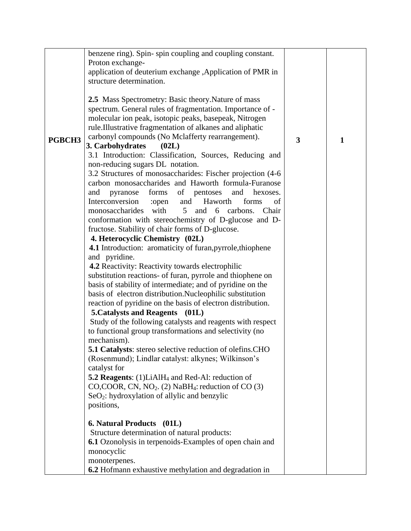| PGBCH3 | benzene ring). Spin-spin coupling and coupling constant.<br>Proton exchange-<br>application of deuterium exchange , Application of PMR in<br>structure determination.<br>2.5 Mass Spectrometry: Basic theory. Nature of mass<br>spectrum. General rules of fragmentation. Importance of -<br>molecular ion peak, isotopic peaks, basepeak, Nitrogen<br>rule. Illustrative fragmentation of alkanes and aliphatic<br>carbonyl compounds (No Mclafferty rearrangement).<br>3. Carbohydrates<br>(02L)<br>3.1 Introduction: Classification, Sources, Reducing and<br>non-reducing sugars DL notation.<br>3.2 Structures of monosaccharides: Fischer projection (4-6)<br>carbon monosaccharides and Haworth formula-Furanose                                                                                                                                                                                                                                                                                                                                                                                                                                                                                                                                      | 3 | 1 |
|--------|--------------------------------------------------------------------------------------------------------------------------------------------------------------------------------------------------------------------------------------------------------------------------------------------------------------------------------------------------------------------------------------------------------------------------------------------------------------------------------------------------------------------------------------------------------------------------------------------------------------------------------------------------------------------------------------------------------------------------------------------------------------------------------------------------------------------------------------------------------------------------------------------------------------------------------------------------------------------------------------------------------------------------------------------------------------------------------------------------------------------------------------------------------------------------------------------------------------------------------------------------------------|---|---|
|        | forms<br>of pentoses<br>pyranose<br>and<br>and<br>hexoses.<br>Interconversion :open<br>Haworth<br>and<br>forms<br>of<br>monosaccharides with<br>5 <sup>5</sup><br>and 6 carbons.<br>Chair<br>conformation with stereochemistry of D-glucose and D-<br>fructose. Stability of chair forms of D-glucose.<br>4. Heterocyclic Chemistry (02L)<br>4.1 Introduction: aromaticity of furan, pyrrole, thiophene<br>and pyridine.<br><b>4.2</b> Reactivity: Reactivity towards electrophilic<br>substitution reactions- of furan, pyrrole and thiophene on<br>basis of stability of intermediate; and of pyridine on the<br>basis of electron distribution.Nucleophilic substitution<br>reaction of pyridine on the basis of electron distribution.<br>5. Catalysts and Reagents (01L)<br>Study of the following catalysts and reagents with respect<br>to functional group transformations and selectivity (no<br>mechanism).<br><b>5.1 Catalysts:</b> stereo selective reduction of olefins.CHO<br>(Rosenmund); Lindlar catalyst: alkynes; Wilkinson's<br>catalyst for<br><b>5.2 Reagents:</b> (1)LiAlH <sub>4</sub> and Red-Al: reduction of<br>CO,COOR, CN, $NO2$ . (2) NaBH <sub>4</sub> : reduction of CO (3)<br>$SeO2$ : hydroxylation of allylic and benzylic |   |   |
|        | positions,<br><b>6. Natural Products</b> (01L)<br>Structure determination of natural products:<br>6.1 Ozonolysis in terpenoids-Examples of open chain and<br>monocyclic<br>monoterpenes.<br>6.2 Hofmann exhaustive methylation and degradation in                                                                                                                                                                                                                                                                                                                                                                                                                                                                                                                                                                                                                                                                                                                                                                                                                                                                                                                                                                                                            |   |   |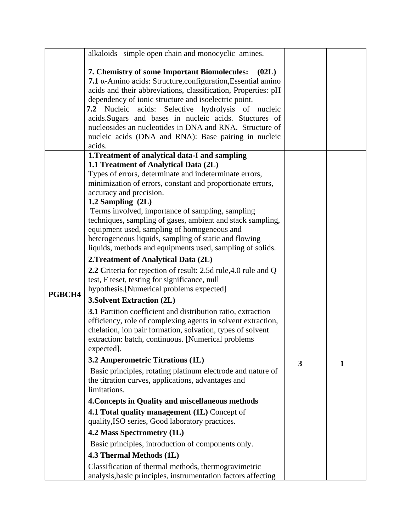|        | alkaloids -simple open chain and monocyclic amines.                                                                                                                                                                                                                                                                                                                                                                                                                                                                                                                                                                                                                                                                                                                                                                                                                                                                                                                                                                   |   |   |
|--------|-----------------------------------------------------------------------------------------------------------------------------------------------------------------------------------------------------------------------------------------------------------------------------------------------------------------------------------------------------------------------------------------------------------------------------------------------------------------------------------------------------------------------------------------------------------------------------------------------------------------------------------------------------------------------------------------------------------------------------------------------------------------------------------------------------------------------------------------------------------------------------------------------------------------------------------------------------------------------------------------------------------------------|---|---|
|        | 7. Chemistry of some Important Biomolecules:<br>(02L)<br>7.1 α-Amino acids: Structure, configuration, Essential amino<br>acids and their abbreviations, classification, Properties: pH<br>dependency of ionic structure and isoelectric point.<br>7.2 Nucleic acids: Selective hydrolysis of nucleic<br>acids. Sugars and bases in nucleic acids. Stuctures of<br>nucleosides an nucleotides in DNA and RNA. Structure of<br>nucleic acids (DNA and RNA): Base pairing in nucleic<br>acids.                                                                                                                                                                                                                                                                                                                                                                                                                                                                                                                           |   |   |
|        | 1. Treatment of analytical data-I and sampling                                                                                                                                                                                                                                                                                                                                                                                                                                                                                                                                                                                                                                                                                                                                                                                                                                                                                                                                                                        |   |   |
| PGBCH4 | 1.1 Treatment of Analytical Data (2L)<br>Types of errors, determinate and indeterminate errors,<br>minimization of errors, constant and proportionate errors,<br>accuracy and precision.<br>1.2 Sampling $(2L)$<br>Terms involved, importance of sampling, sampling<br>techniques, sampling of gases, ambient and stack sampling,<br>equipment used, sampling of homogeneous and<br>heterogeneous liquids, sampling of static and flowing<br>liquids, methods and equipments used, sampling of solids.<br>2. Treatment of Analytical Data (2L)<br>2.2 Criteria for rejection of result: 2.5d rule, 4.0 rule and Q<br>test, F teset, testing for significance, null<br>hypothesis.[Numerical problems expected]<br><b>3. Solvent Extraction (2L)</b><br>3.1 Partition coefficient and distribution ratio, extraction<br>efficiency, role of complexing agents in solvent extraction,<br>chelation, ion pair formation, solvation, types of solvent<br>extraction: batch, continuous. [Numerical problems<br>expected]. |   |   |
|        | 3.2 Amperometric Titrations (1L)                                                                                                                                                                                                                                                                                                                                                                                                                                                                                                                                                                                                                                                                                                                                                                                                                                                                                                                                                                                      | 3 | 1 |
|        | Basic principles, rotating platinum electrode and nature of<br>the titration curves, applications, advantages and<br>limitations.                                                                                                                                                                                                                                                                                                                                                                                                                                                                                                                                                                                                                                                                                                                                                                                                                                                                                     |   |   |
|        | 4. Concepts in Quality and miscellaneous methods                                                                                                                                                                                                                                                                                                                                                                                                                                                                                                                                                                                                                                                                                                                                                                                                                                                                                                                                                                      |   |   |
|        | 4.1 Total quality management (1L) Concept of<br>quality, ISO series, Good laboratory practices.                                                                                                                                                                                                                                                                                                                                                                                                                                                                                                                                                                                                                                                                                                                                                                                                                                                                                                                       |   |   |
|        | 4.2 Mass Spectrometry (1L)                                                                                                                                                                                                                                                                                                                                                                                                                                                                                                                                                                                                                                                                                                                                                                                                                                                                                                                                                                                            |   |   |
|        | Basic principles, introduction of components only.                                                                                                                                                                                                                                                                                                                                                                                                                                                                                                                                                                                                                                                                                                                                                                                                                                                                                                                                                                    |   |   |
|        | 4.3 Thermal Methods (1L)                                                                                                                                                                                                                                                                                                                                                                                                                                                                                                                                                                                                                                                                                                                                                                                                                                                                                                                                                                                              |   |   |
|        | Classification of thermal methods, thermogravimetric<br>analysis, basic principles, instrumentation factors affecting                                                                                                                                                                                                                                                                                                                                                                                                                                                                                                                                                                                                                                                                                                                                                                                                                                                                                                 |   |   |